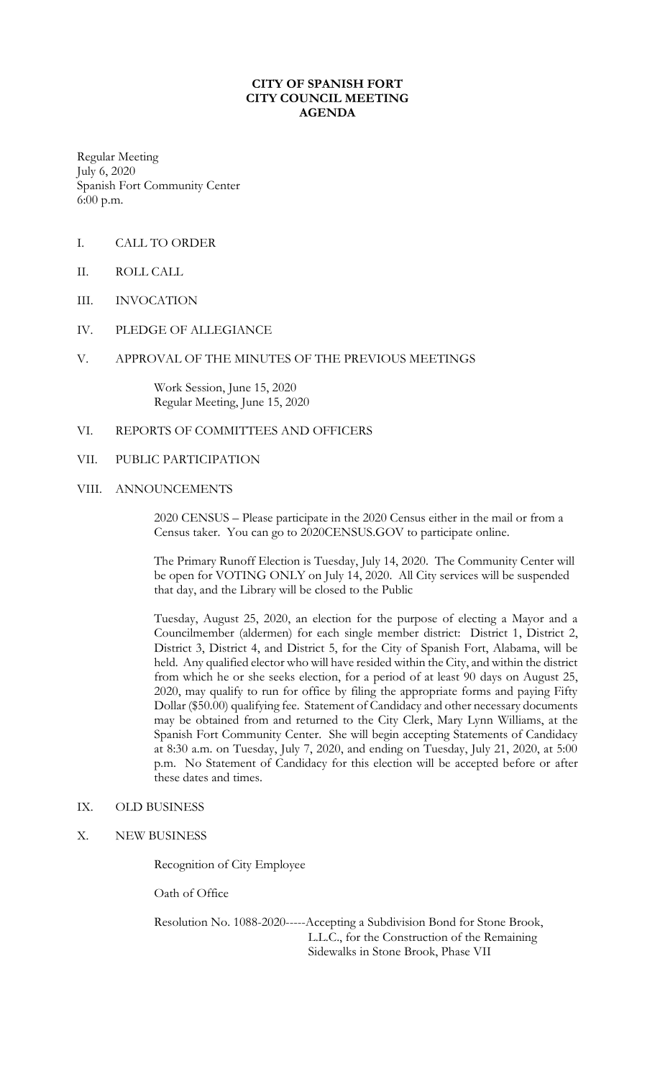## **CITY OF SPANISH FORT CITY COUNCIL MEETING AGENDA**

Regular Meeting July 6, 2020 Spanish Fort Community Center 6:00 p.m.

- I. CALL TO ORDER
- II. ROLL CALL
- III. INVOCATION
- IV. PLEDGE OF ALLEGIANCE
- V. APPROVAL OF THE MINUTES OF THE PREVIOUS MEETINGS

Work Session, June 15, 2020 Regular Meeting, June 15, 2020

- VI. REPORTS OF COMMITTEES AND OFFICERS
- VII. PUBLIC PARTICIPATION

## VIII. ANNOUNCEMENTS

2020 CENSUS – Please participate in the 2020 Census either in the mail or from a Census taker. You can go to 2020CENSUS.GOV to participate online.

The Primary Runoff Election is Tuesday, July 14, 2020. The Community Center will be open for VOTING ONLY on July 14, 2020. All City services will be suspended that day, and the Library will be closed to the Public

Tuesday, August 25, 2020, an election for the purpose of electing a Mayor and a Councilmember (aldermen) for each single member district: District 1, District 2, District 3, District 4, and District 5, for the City of Spanish Fort, Alabama, will be held. Any qualified elector who will have resided within the City, and within the district from which he or she seeks election, for a period of at least 90 days on August 25, 2020, may qualify to run for office by filing the appropriate forms and paying Fifty Dollar (\$50.00) qualifying fee. Statement of Candidacy and other necessary documents may be obtained from and returned to the City Clerk, Mary Lynn Williams, at the Spanish Fort Community Center. She will begin accepting Statements of Candidacy at 8:30 a.m. on Tuesday, July 7, 2020, and ending on Tuesday, July 21, 2020, at 5:00 p.m. No Statement of Candidacy for this election will be accepted before or after these dates and times.

## IX. OLD BUSINESS

X. NEW BUSINESS

Recognition of City Employee

Oath of Office

Resolution No. 1088-2020-----Accepting a Subdivision Bond for Stone Brook, L.L.C., for the Construction of the Remaining Sidewalks in Stone Brook, Phase VII